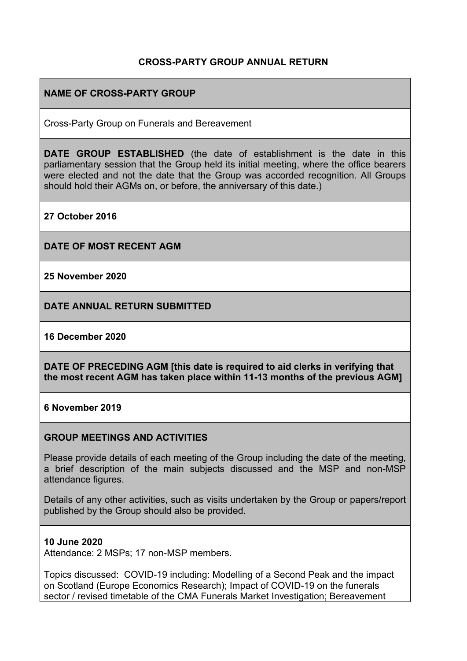# **CROSS-PARTY GROUP ANNUAL RETURN**

# **NAME OF CROSS-PARTY GROUP**

Cross-Party Group on Funerals and Bereavement

**DATE GROUP ESTABLISHED** (the date of establishment is the date in this parliamentary session that the Group held its initial meeting, where the office bearers were elected and not the date that the Group was accorded recognition. All Groups should hold their AGMs on, or before, the anniversary of this date.)

**27 October 2016**

**DATE OF MOST RECENT AGM**

**25 November 2020**

**DATE ANNUAL RETURN SUBMITTED**

#### **16 December 2020**

**DATE OF PRECEDING AGM [this date is required to aid clerks in verifying that the most recent AGM has taken place within 11-13 months of the previous AGM]**

#### **6 November 2019**

### **GROUP MEETINGS AND ACTIVITIES**

Please provide details of each meeting of the Group including the date of the meeting, a brief description of the main subjects discussed and the MSP and non-MSP attendance figures.

Details of any other activities, such as visits undertaken by the Group or papers/report published by the Group should also be provided.

#### **10 June 2020**

Attendance: 2 MSPs; 17 non-MSP members.

Topics discussed: COVID-19 including: Modelling of a Second Peak and the impact on Scotland (Europe Economics Research); Impact of COVID-19 on the funerals sector / revised timetable of the CMA Funerals Market Investigation; Bereavement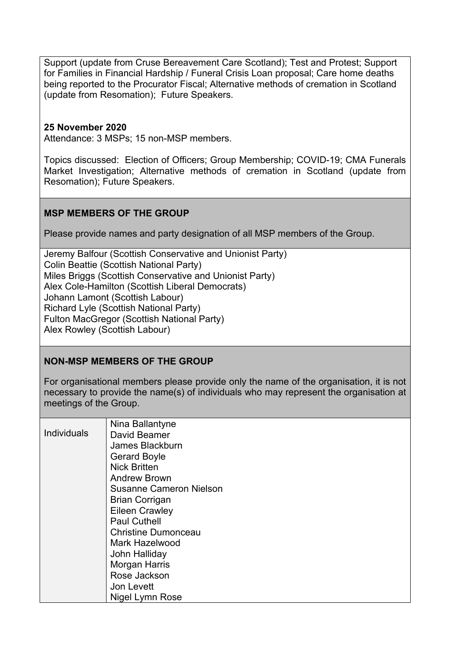Support (update from Cruse Bereavement Care Scotland); Test and Protest; Support for Families in Financial Hardship / Funeral Crisis Loan proposal; Care home deaths being reported to the Procurator Fiscal; Alternative methods of cremation in Scotland (update from Resomation); Future Speakers.

## **25 November 2020**

Attendance: 3 MSPs; 15 non-MSP members.

Topics discussed: Election of Officers; Group Membership; COVID-19; CMA Funerals Market Investigation; Alternative methods of cremation in Scotland (update from Resomation); Future Speakers.

## **MSP MEMBERS OF THE GROUP**

Please provide names and party designation of all MSP members of the Group.

Jeremy Balfour (Scottish Conservative and Unionist Party) Colin Beattie (Scottish National Party) Miles Briggs (Scottish Conservative and Unionist Party) Alex Cole-Hamilton (Scottish Liberal Democrats) Johann Lamont (Scottish Labour) Richard Lyle (Scottish National Party) Fulton MacGregor (Scottish National Party) Alex Rowley (Scottish Labour)

### **NON-MSP MEMBERS OF THE GROUP**

For organisational members please provide only the name of the organisation, it is not necessary to provide the name(s) of individuals who may represent the organisation at meetings of the Group.

|                    | Nina Ballantyne                |
|--------------------|--------------------------------|
| <b>Individuals</b> | David Beamer                   |
|                    | James Blackburn                |
|                    | <b>Gerard Boyle</b>            |
|                    | <b>Nick Britten</b>            |
|                    | <b>Andrew Brown</b>            |
|                    | <b>Susanne Cameron Nielson</b> |
|                    | <b>Brian Corrigan</b>          |
|                    | <b>Eileen Crawley</b>          |
|                    | <b>Paul Cuthell</b>            |
|                    | <b>Christine Dumonceau</b>     |
|                    | Mark Hazelwood                 |
|                    | John Halliday                  |
|                    | Morgan Harris                  |
|                    | Rose Jackson                   |
|                    | Jon Levett                     |
|                    | Nigel Lymn Rose                |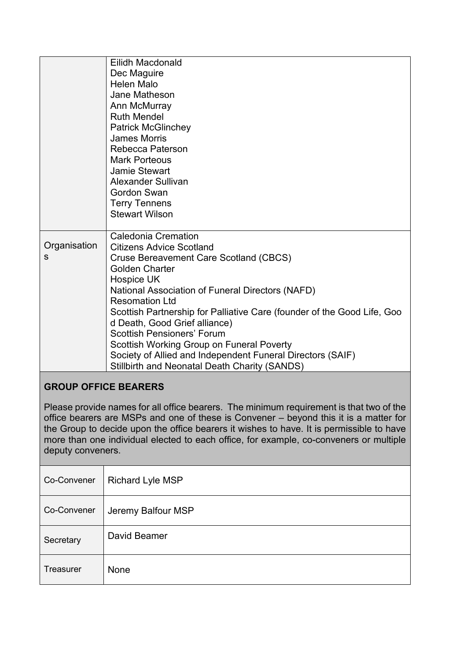|                   | Eilidh Macdonald<br>Dec Maguire<br><b>Helen Malo</b><br>Jane Matheson<br>Ann McMurray<br><b>Ruth Mendel</b><br><b>Patrick McGlinchey</b><br><b>James Morris</b><br>Rebecca Paterson<br><b>Mark Porteous</b><br>Jamie Stewart<br>Alexander Sullivan<br><b>Gordon Swan</b><br><b>Terry Tennens</b><br><b>Stewart Wilson</b>                                                                                                                                                                                                                              |
|-------------------|--------------------------------------------------------------------------------------------------------------------------------------------------------------------------------------------------------------------------------------------------------------------------------------------------------------------------------------------------------------------------------------------------------------------------------------------------------------------------------------------------------------------------------------------------------|
| Organisation<br>s | <b>Caledonia Cremation</b><br><b>Citizens Advice Scotland</b><br><b>Cruse Bereavement Care Scotland (CBCS)</b><br><b>Golden Charter</b><br>Hospice UK<br>National Association of Funeral Directors (NAFD)<br><b>Resomation Ltd</b><br>Scottish Partnership for Palliative Care (founder of the Good Life, Goo<br>d Death, Good Grief alliance)<br><b>Scottish Pensioners' Forum</b><br>Scottish Working Group on Funeral Poverty<br>Society of Allied and Independent Funeral Directors (SAIF)<br><b>Stillbirth and Neonatal Death Charity (SANDS)</b> |

# **GROUP OFFICE BEARERS**

Please provide names for all office bearers. The minimum requirement is that two of the office bearers are MSPs and one of these is Convener – beyond this it is a matter for the Group to decide upon the office bearers it wishes to have. It is permissible to have more than one individual elected to each office, for example, co-conveners or multiple deputy conveners.

| Co-Convener      | <b>Richard Lyle MSP</b> |
|------------------|-------------------------|
| Co-Convener      | Jeremy Balfour MSP      |
| Secretary        | David Beamer            |
| <b>Treasurer</b> | None                    |